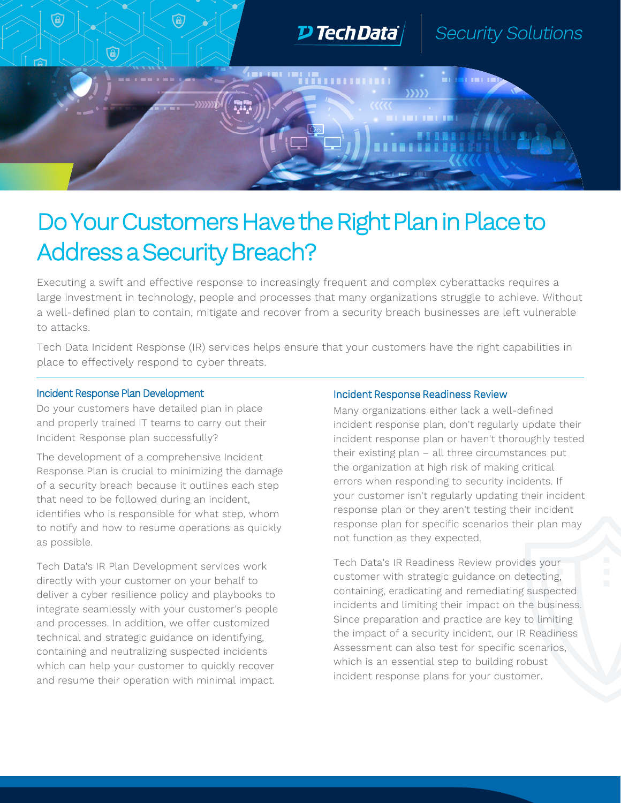

## Do Your Customers Have the Right Plan in Place to Address a Security Breach?

Executing a swift and effective response to increasingly frequent and complex cyberattacks requires a large investment in technology, people and processes that many organizations struggle to achieve. Without a well-defined plan to contain, mitigate and recover from a security breach businesses are left vulnerable to attacks.

Tech Data Incident Response (IR) services helps ensure that your customers have the right capabilities in place to effectively respond to cyber threats.

## Incident Response Plan Development

Do your customers have detailed plan in place and properly trained IT teams to carry out their Incident Response plan successfully?

The development of a comprehensive Incident Response Plan is crucial to minimizing the damage of a security breach because it outlines each step that need to be followed during an incident, identifies who is responsible for what step, whom to notify and how to resume operations as quickly as possible.

Tech Data's IR Plan Development services work directly with your customer on your behalf to deliver a cyber resilience policy and playbooks to integrate seamlessly with your customer's people and processes. In addition, we offer customized technical and strategic guidance on identifying, containing and neutralizing suspected incidents which can help your customer to quickly recover and resume their operation with minimal impact.

## Incident Response Readiness Review

Many organizations either lack a well-defined incident response plan, don't regularly update their incident response plan or haven't thoroughly tested their existing plan – all three circumstances put the organization at high risk of making critical errors when responding to security incidents. If your customer isn't regularly updating their incident response plan or they aren't testing their incident response plan for specific scenarios their plan may not function as they expected.

Tech Data's IR Readiness Review provides your customer with strategic guidance on detecting, containing, eradicating and remediating suspected incidents and limiting their impact on the business. Since preparation and practice are key to limiting the impact of a security incident, our IR Readiness Assessment can also test for specific scenarios, which is an essential step to building robust incident response plans for your customer.